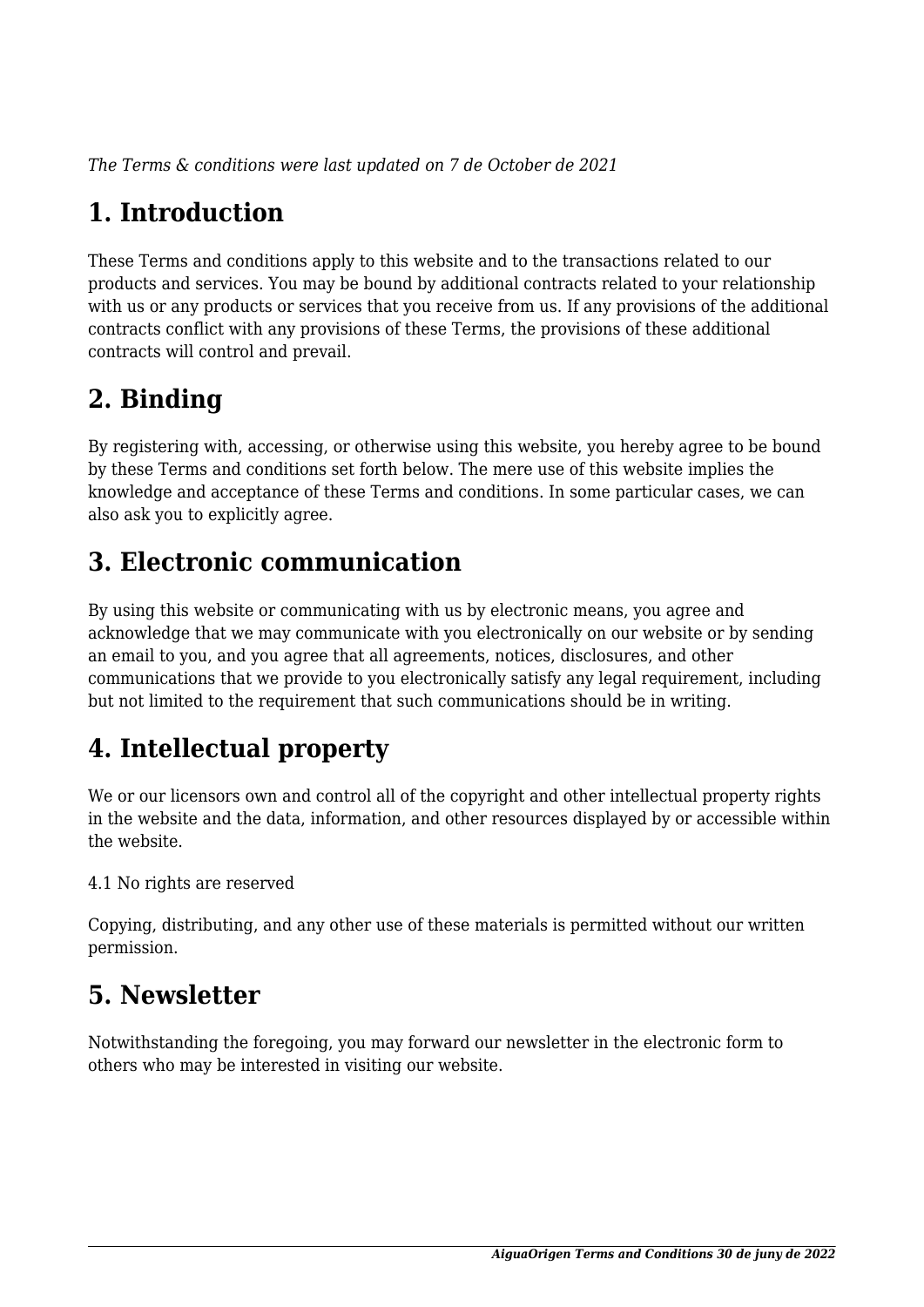*The Terms & conditions were last updated on 7 de October de 2021*

# **1. Introduction**

These Terms and conditions apply to this website and to the transactions related to our products and services. You may be bound by additional contracts related to your relationship with us or any products or services that you receive from us. If any provisions of the additional contracts conflict with any provisions of these Terms, the provisions of these additional contracts will control and prevail.

# **2. Binding**

By registering with, accessing, or otherwise using this website, you hereby agree to be bound by these Terms and conditions set forth below. The mere use of this website implies the knowledge and acceptance of these Terms and conditions. In some particular cases, we can also ask you to explicitly agree.

# **3. Electronic communication**

By using this website or communicating with us by electronic means, you agree and acknowledge that we may communicate with you electronically on our website or by sending an email to you, and you agree that all agreements, notices, disclosures, and other communications that we provide to you electronically satisfy any legal requirement, including but not limited to the requirement that such communications should be in writing.

# **4. Intellectual property**

We or our licensors own and control all of the copyright and other intellectual property rights in the website and the data, information, and other resources displayed by or accessible within the website.

4.1 No rights are reserved

Copying, distributing, and any other use of these materials is permitted without our written permission.

## **5. Newsletter**

Notwithstanding the foregoing, you may forward our newsletter in the electronic form to others who may be interested in visiting our website.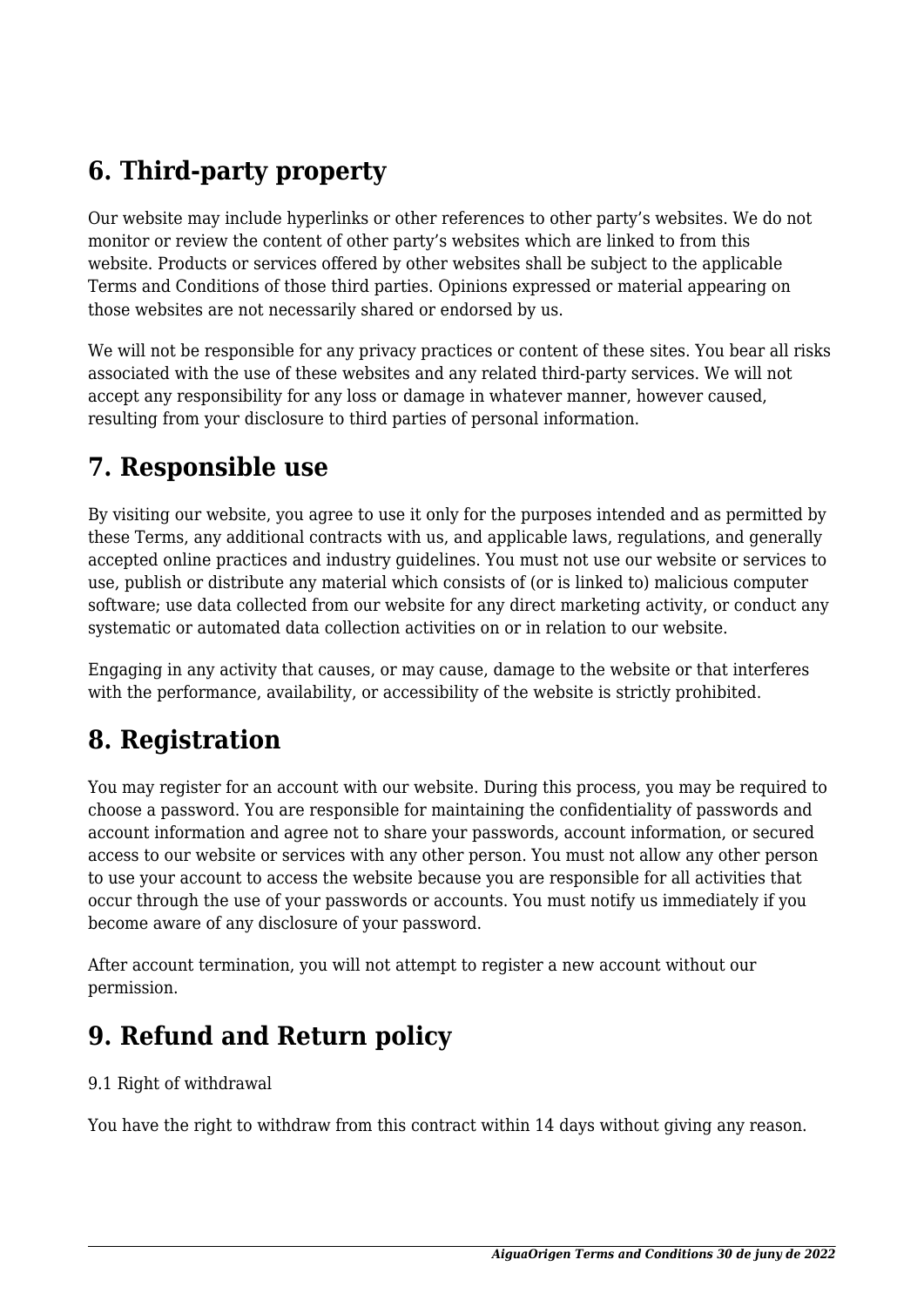# **6. Third-party property**

Our website may include hyperlinks or other references to other party's websites. We do not monitor or review the content of other party's websites which are linked to from this website. Products or services offered by other websites shall be subject to the applicable Terms and Conditions of those third parties. Opinions expressed or material appearing on those websites are not necessarily shared or endorsed by us.

We will not be responsible for any privacy practices or content of these sites. You bear all risks associated with the use of these websites and any related third-party services. We will not accept any responsibility for any loss or damage in whatever manner, however caused, resulting from your disclosure to third parties of personal information.

#### **7. Responsible use**

By visiting our website, you agree to use it only for the purposes intended and as permitted by these Terms, any additional contracts with us, and applicable laws, regulations, and generally accepted online practices and industry guidelines. You must not use our website or services to use, publish or distribute any material which consists of (or is linked to) malicious computer software; use data collected from our website for any direct marketing activity, or conduct any systematic or automated data collection activities on or in relation to our website.

Engaging in any activity that causes, or may cause, damage to the website or that interferes with the performance, availability, or accessibility of the website is strictly prohibited.

#### **8. Registration**

You may register for an account with our website. During this process, you may be required to choose a password. You are responsible for maintaining the confidentiality of passwords and account information and agree not to share your passwords, account information, or secured access to our website or services with any other person. You must not allow any other person to use your account to access the website because you are responsible for all activities that occur through the use of your passwords or accounts. You must notify us immediately if you become aware of any disclosure of your password.

After account termination, you will not attempt to register a new account without our permission.

#### **9. Refund and Return policy**

#### 9.1 Right of withdrawal

You have the right to withdraw from this contract within 14 days without giving any reason.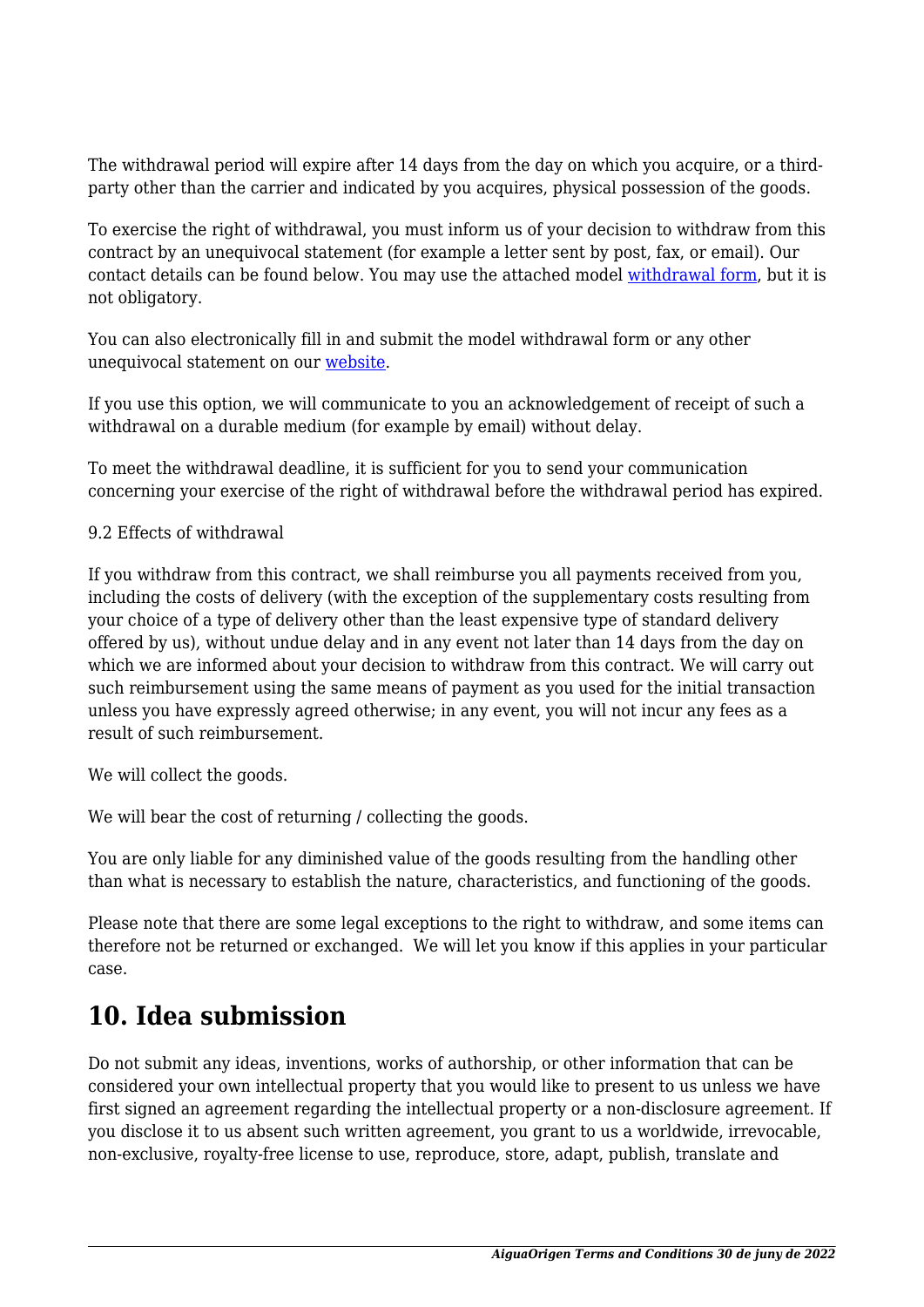The withdrawal period will expire after 14 days from the day on which you acquire, or a thirdparty other than the carrier and indicated by you acquires, physical possession of the goods.

To exercise the right of withdrawal, you must inform us of your decision to withdraw from this contract by an unequivocal statement (for example a letter sent by post, fax, or email). Our contact details can be found below. You may use the attached model [withdrawal form](https://aiguaorigen.cat/wp-content/uploads/complianz/withdrawal-forms/withdrawal-form-ca.pdf), but it is not obligatory.

You can also electronically fill in and submit the model withdrawal form or any other unequivocal statement on our [website](http://aiguaorigen.cat/contact/).

If you use this option, we will communicate to you an acknowledgement of receipt of such a withdrawal on a durable medium (for example by email) without delay.

To meet the withdrawal deadline, it is sufficient for you to send your communication concerning your exercise of the right of withdrawal before the withdrawal period has expired.

#### 9.2 Effects of withdrawal

If you withdraw from this contract, we shall reimburse you all payments received from you, including the costs of delivery (with the exception of the supplementary costs resulting from your choice of a type of delivery other than the least expensive type of standard delivery offered by us), without undue delay and in any event not later than 14 days from the day on which we are informed about your decision to withdraw from this contract. We will carry out such reimbursement using the same means of payment as you used for the initial transaction unless you have expressly agreed otherwise; in any event, you will not incur any fees as a result of such reimbursement.

We will collect the goods.

We will bear the cost of returning / collecting the goods.

You are only liable for any diminished value of the goods resulting from the handling other than what is necessary to establish the nature, characteristics, and functioning of the goods.

Please note that there are some legal exceptions to the right to withdraw, and some items can therefore not be returned or exchanged. We will let you know if this applies in your particular case.

#### **10. Idea submission**

Do not submit any ideas, inventions, works of authorship, or other information that can be considered your own intellectual property that you would like to present to us unless we have first signed an agreement regarding the intellectual property or a non-disclosure agreement. If you disclose it to us absent such written agreement, you grant to us a worldwide, irrevocable, non-exclusive, royalty-free license to use, reproduce, store, adapt, publish, translate and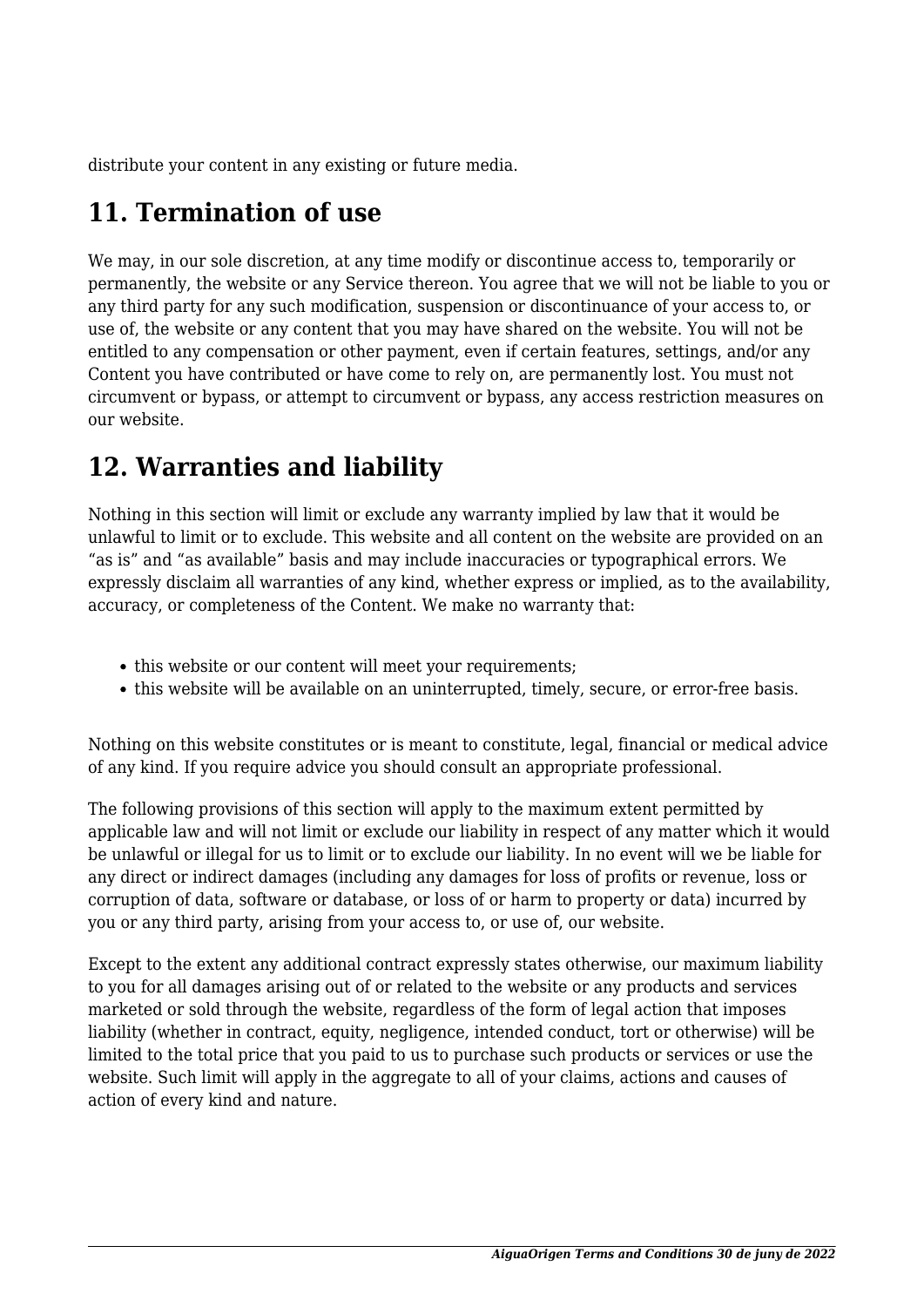distribute your content in any existing or future media.

## **11. Termination of use**

We may, in our sole discretion, at any time modify or discontinue access to, temporarily or permanently, the website or any Service thereon. You agree that we will not be liable to you or any third party for any such modification, suspension or discontinuance of your access to, or use of, the website or any content that you may have shared on the website. You will not be entitled to any compensation or other payment, even if certain features, settings, and/or any Content you have contributed or have come to rely on, are permanently lost. You must not circumvent or bypass, or attempt to circumvent or bypass, any access restriction measures on our website.

#### **12. Warranties and liability**

Nothing in this section will limit or exclude any warranty implied by law that it would be unlawful to limit or to exclude. This website and all content on the website are provided on an "as is" and "as available" basis and may include inaccuracies or typographical errors. We expressly disclaim all warranties of any kind, whether express or implied, as to the availability, accuracy, or completeness of the Content. We make no warranty that:

- this website or our content will meet your requirements;
- this website will be available on an uninterrupted, timely, secure, or error-free basis.

Nothing on this website constitutes or is meant to constitute, legal, financial or medical advice of any kind. If you require advice you should consult an appropriate professional.

The following provisions of this section will apply to the maximum extent permitted by applicable law and will not limit or exclude our liability in respect of any matter which it would be unlawful or illegal for us to limit or to exclude our liability. In no event will we be liable for any direct or indirect damages (including any damages for loss of profits or revenue, loss or corruption of data, software or database, or loss of or harm to property or data) incurred by you or any third party, arising from your access to, or use of, our website.

Except to the extent any additional contract expressly states otherwise, our maximum liability to you for all damages arising out of or related to the website or any products and services marketed or sold through the website, regardless of the form of legal action that imposes liability (whether in contract, equity, negligence, intended conduct, tort or otherwise) will be limited to the total price that you paid to us to purchase such products or services or use the website. Such limit will apply in the aggregate to all of your claims, actions and causes of action of every kind and nature.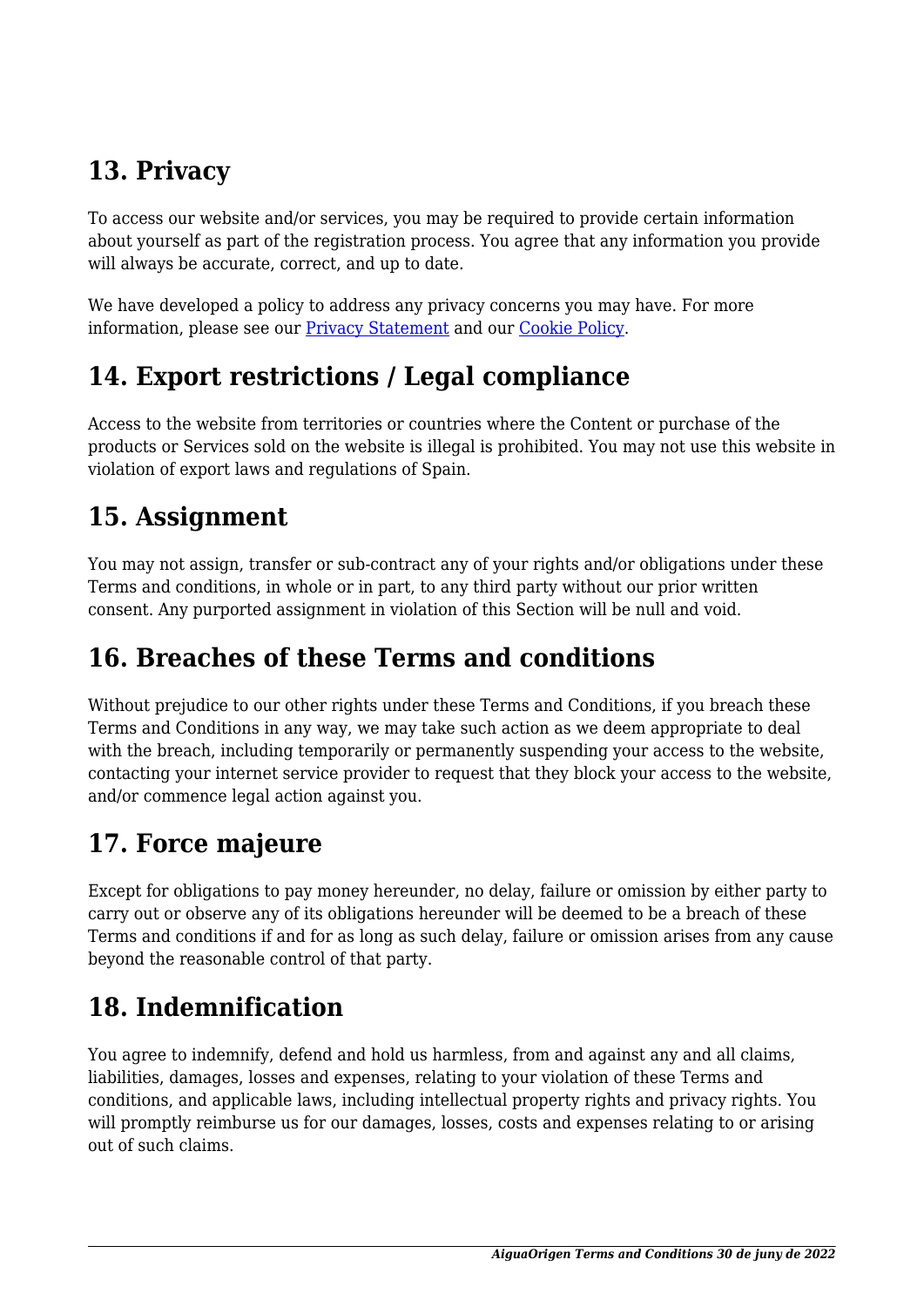# **13. Privacy**

To access our website and/or services, you may be required to provide certain information about yourself as part of the registration process. You agree that any information you provide will always be accurate, correct, and up to date.

We have developed a policy to address any privacy concerns you may have. For more information, please see our Privacy Statement and our Cookie Policy.

# **14. Export restrictions / Legal compliance**

Access to the website from territories or countries where the Content or purchase of the products or Services sold on the website is illegal is prohibited. You may not use this website in violation of export laws and regulations of Spain.

#### **15. Assignment**

You may not assign, transfer or sub-contract any of your rights and/or obligations under these Terms and conditions, in whole or in part, to any third party without our prior written consent. Any purported assignment in violation of this Section will be null and void.

#### **16. Breaches of these Terms and conditions**

Without prejudice to our other rights under these Terms and Conditions, if you breach these Terms and Conditions in any way, we may take such action as we deem appropriate to deal with the breach, including temporarily or permanently suspending your access to the website, contacting your internet service provider to request that they block your access to the website, and/or commence legal action against you.

## **17. Force majeure**

Except for obligations to pay money hereunder, no delay, failure or omission by either party to carry out or observe any of its obligations hereunder will be deemed to be a breach of these Terms and conditions if and for as long as such delay, failure or omission arises from any cause beyond the reasonable control of that party.

## **18. Indemnification**

You agree to indemnify, defend and hold us harmless, from and against any and all claims, liabilities, damages, losses and expenses, relating to your violation of these Terms and conditions, and applicable laws, including intellectual property rights and privacy rights. You will promptly reimburse us for our damages, losses, costs and expenses relating to or arising out of such claims.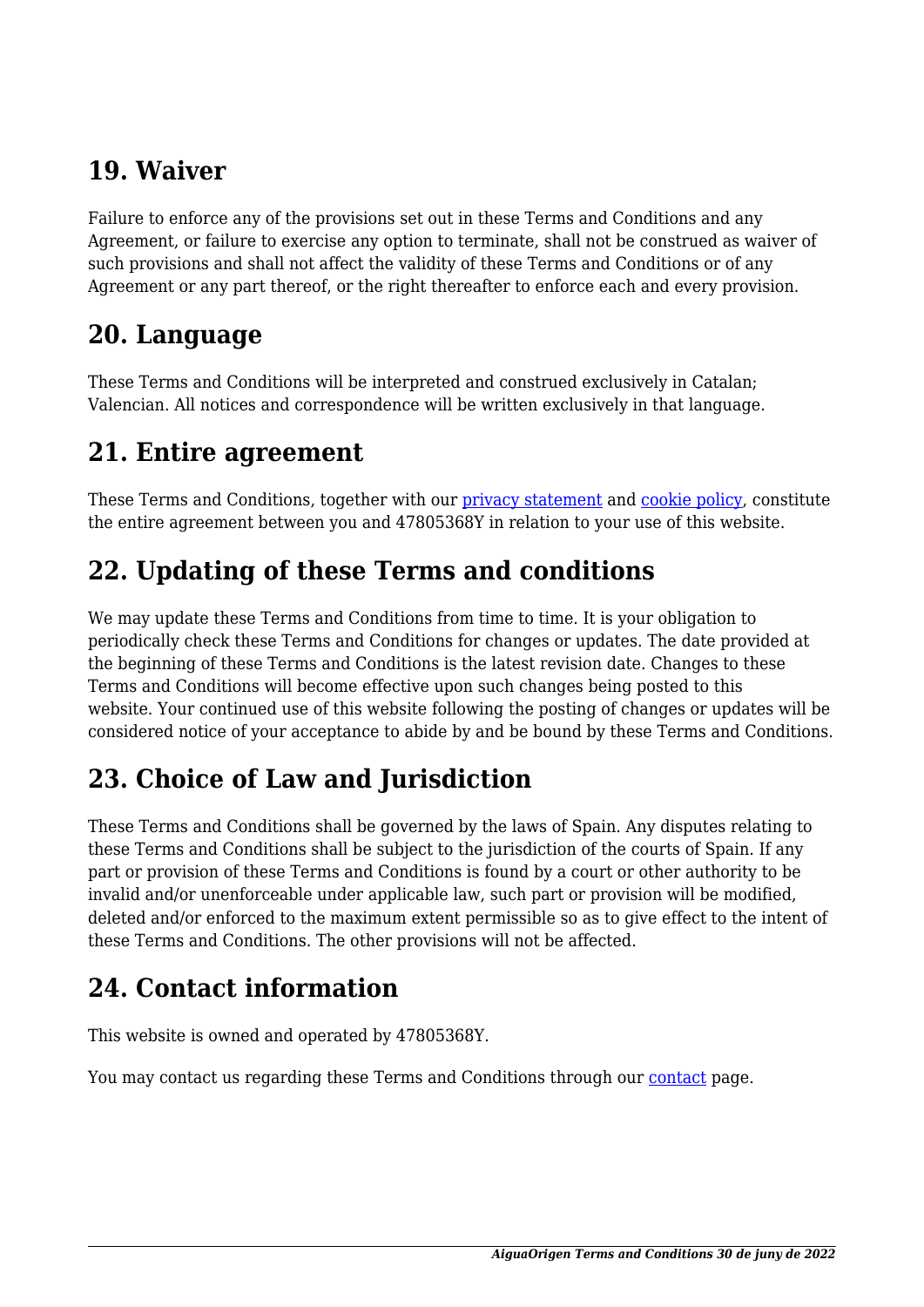#### **19. Waiver**

Failure to enforce any of the provisions set out in these Terms and Conditions and any Agreement, or failure to exercise any option to terminate, shall not be construed as waiver of such provisions and shall not affect the validity of these Terms and Conditions or of any Agreement or any part thereof, or the right thereafter to enforce each and every provision.

#### **20. Language**

These Terms and Conditions will be interpreted and construed exclusively in Catalan; Valencian. All notices and correspondence will be written exclusively in that language.

#### **21. Entire agreement**

These Terms and Conditions, together with our privacy statement and cookie policy, constitute the entire agreement between you and 47805368Y in relation to your use of this website.

## **22. Updating of these Terms and conditions**

We may update these Terms and Conditions from time to time. It is your obligation to periodically check these Terms and Conditions for changes or updates. The date provided at the beginning of these Terms and Conditions is the latest revision date. Changes to these Terms and Conditions will become effective upon such changes being posted to this website. Your continued use of this website following the posting of changes or updates will be considered notice of your acceptance to abide by and be bound by these Terms and Conditions.

## **23. Choice of Law and Jurisdiction**

These Terms and Conditions shall be governed by the laws of Spain. Any disputes relating to these Terms and Conditions shall be subject to the jurisdiction of the courts of Spain. If any part or provision of these Terms and Conditions is found by a court or other authority to be invalid and/or unenforceable under applicable law, such part or provision will be modified, deleted and/or enforced to the maximum extent permissible so as to give effect to the intent of these Terms and Conditions. The other provisions will not be affected.

#### **24. Contact information**

This website is owned and operated by 47805368Y.

You may [contact](http://aiguaorigen.cat/contact/) us regarding these Terms and Conditions through our contact page.